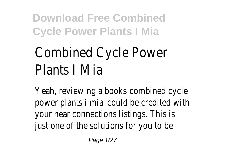# Combined Cycle Power Plants I Mia

Yeah, reviewing a books combined cycle power plants i mia could be credited with your near connections listings. This is just one of the solutions for you to be

Page 1/27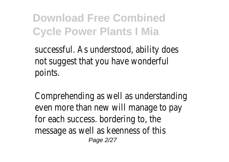successful. As understood, ability does not suggest that you have wonderful points.

Comprehending as well as understanding even more than new will manage to pay for each success. bordering to, the message as well as keenness of this Page 2/27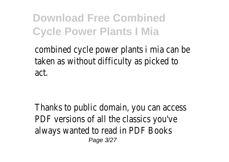combined cycle power plants i mia can be taken as without difficulty as picked to act.

Thanks to public domain, you can access PDF versions of all the classics you've always wanted to read in PDF Books Page 3/27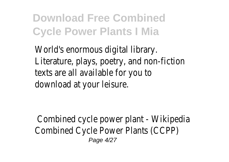World's enormous digital library. Literature, plays, poetry, and non-fiction texts are all available for you to download at your leisure.

Combined cycle power plant - Wikipedia Combined Cycle Power Plants (CCPP) Page 4/27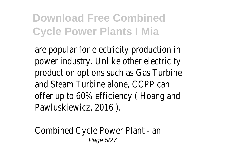are popular for electricity production in power industry. Unlike other electricity production options such as Gas Turbine and Steam Turbine alone, CCPP can offer up to 60% efficiency ( Hoang and Pawluskiewicz, 2016 ).

Combined Cycle Power Plant - an Page 5/27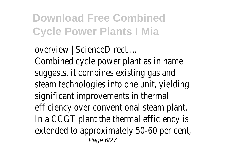overview | ScienceDirect ... Combined cycle power plant as in name suggests, it combines existing gas and steam technologies into one unit, yielding significant improvements in thermal efficiency over conventional steam plant. In a CCGT plant the thermal efficiency is extended to approximately 50-60 per cent, Page 6/27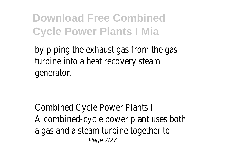by piping the exhaust gas from the gas turbine into a heat recovery steam generator.

Combined Cycle Power Plants I A combined-cycle power plant uses both a gas and a steam turbine together to Page 7/27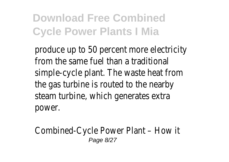produce up to 50 percent more electricity from the same fuel than a traditional simple-cycle plant. The waste heat from the gas turbine is routed to the nearby steam turbine, which generates extra power.

#### Combined-Cycle Power Plant – How it Page 8/27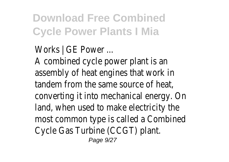Works | GE Power ... A combined cycle power plant is an assembly of heat engines that work in tandem from the same source of heat, converting it into mechanical energy. On land, when used to make electricity the most common type is called a Combined Cycle Gas Turbine (CCGT) plant.

Page  $9/27$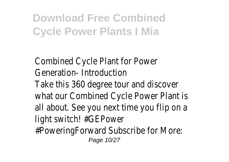Combined Cycle Plant for Power Generation- Introduction Take this 360 degree tour and discover what our Combined Cycle Power Plant is all about. See you next time you flip on a light switch! #GEPower #PoweringForward Subscribe for More: Page 10/27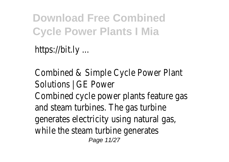https://bit.ly ...

Combined & Simple Cycle Power Plant Solutions | GE Power Combined cycle power plants feature gas and steam turbines. The gas turbine generates electricity using natural gas, while the steam turbine generates Page 11/27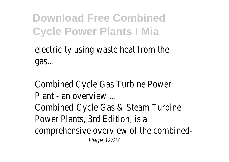electricity using waste heat from the gas...

Combined Cycle Gas Turbine Power Plant - an overview Combined-Cycle Gas & Steam Turbine Power Plants, 3rd Edition, is a comprehensive overview of the combined-Page 12/27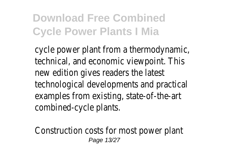cycle power plant from a thermodynamic, technical, and economic viewpoint. This new edition gives readers the latest technological developments and practical examples from existing, state-of-the-art combined-cycle plants.

Construction costs for most power plant Page 13/27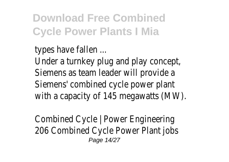types have fallen ... Under a turnkey plug and play concept, Siemens as team leader will provide a Siemens' combined cycle power plant with a capacity of 145 megawatts (MW).

Combined Cycle | Power Engineering 206 Combined Cycle Power Plant jobs Page 14/27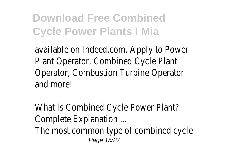available on Indeed.com. Apply to Power Plant Operator, Combined Cycle Plant Operator, Combustion Turbine Operator and more!

What is Combined Cycle Power Plant? - Complete Explanation ... The most common type of combined cycle Page 15/27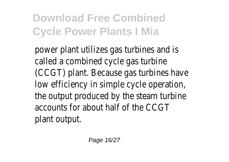power plant utilizes gas turbines and is called a combined cycle gas turbine (CCGT) plant. Because gas turbines have low efficiency in simple cycle operation, the output produced by the steam turbine accounts for about half of the CCGT plant output.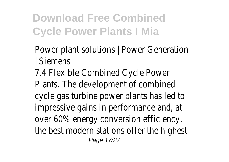- Power plant solutions | Power Generation | Siemens
- 7.4 Flexible Combined Cycle Power Plants. The development of combined cycle gas turbine power plants has led to impressive gains in performance and, at over 60% energy conversion efficiency, the best modern stations offer the highest Page 17/27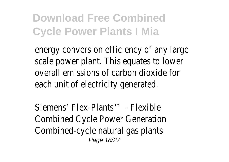energy conversion efficiency of any large scale power plant. This equates to lower overall emissions of carbon dioxide for each unit of electricity generated.

Siemens' Flex-Plants™ - Flexible Combined Cycle Power Generation Combined-cycle natural gas plants Page 18/27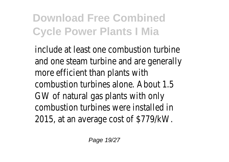include at least one combustion turbine and one steam turbine and are generally more efficient than plants with combustion turbines alone. About 1.5 GW of natural gas plants with only combustion turbines were installed in 2015, at an average cost of \$779/kW.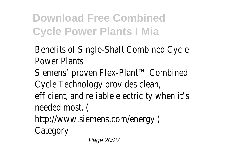Benefits of Single-Shaft Combined Cycle Power Plants Siemens' proven Flex-Plant™ Combined Cycle Technology provides clean, efficient, and reliable electricity when it's needed most. ( http://www.siemens.com/energy ) **Category** 

Page 20/27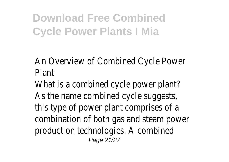An Overview of Combined Cycle Power Plant

What is a combined cycle power plant? As the name combined cycle suggests, this type of power plant comprises of a combination of both gas and steam power production technologies. A combined Page 21/27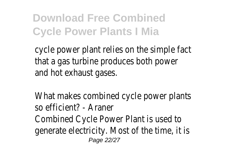cycle power plant relies on the simple fact that a gas turbine produces both power and hot exhaust gases.

What makes combined cycle power plants so efficient? - Araner Combined Cycle Power Plant is used to generate electricity. Most of the time, it is Page 22/27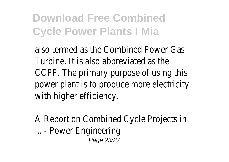also termed as the Combined Power Gas Turbine. It is also abbreviated as the CCPP. The primary purpose of using this power plant is to produce more electricity with higher efficiency.

A Report on Combined Cycle Projects in ... - Power Engineering Page 23/27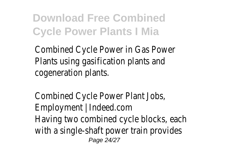Combined Cycle Power in Gas Power Plants using gasification plants and cogeneration plants.

Combined Cycle Power Plant Jobs, Employment | Indeed.com Having two combined cycle blocks, each with a single-shaft power train provides Page 24/27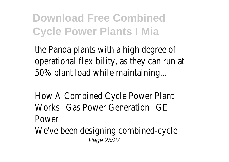the Panda plants with a high degree of operational flexibility, as they can run at 50% plant load while maintaining...

How A Combined Cycle Power Plant Works | Gas Power Generation | GE Power

We've been designing combined-cycle Page 25/27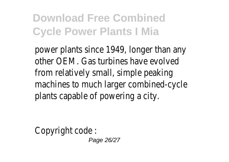power plants since 1949, longer than any other OEM. Gas turbines have evolved from relatively small, simple peaking machines to much larger combined-cycle plants capable of powering a city.

Copyright code : Page 26/27